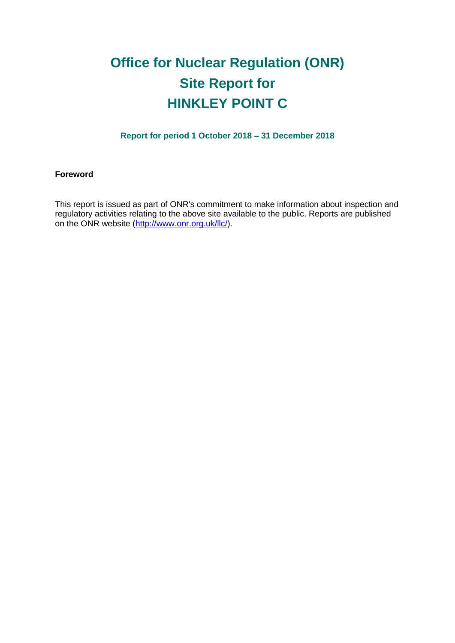# **Office for Nuclear Regulation (ONR) Site Report for HINKLEY POINT C**

**Report for period 1 October 2018 – 31 December 2018**

#### **Foreword**

This report is issued as part of ONR's commitment to make information about inspection and regulatory activities relating to the above site available to the public. Reports are published on the ONR website [\(http://www.onr.org.uk/llc/\)](http://www.onr.org.uk/llc/).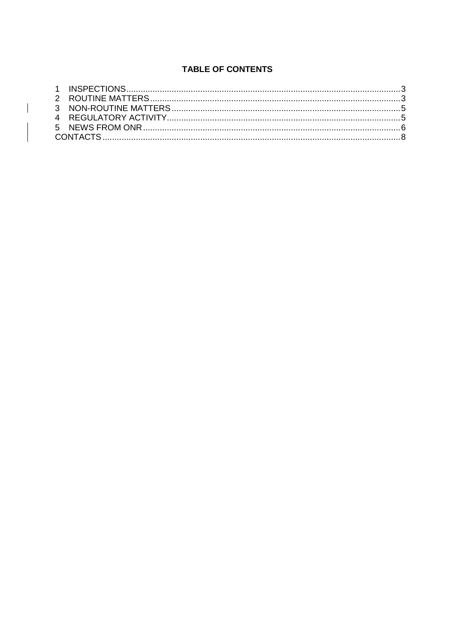# **TABLE OF CONTENTS**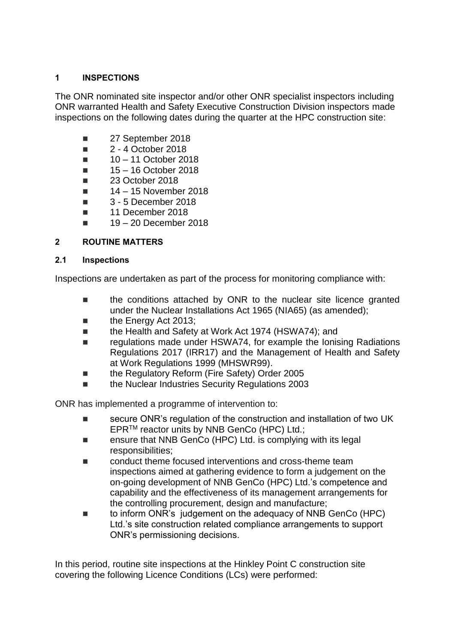## <span id="page-2-0"></span>**1 INSPECTIONS**

The ONR nominated site inspector and/or other ONR specialist inspectors including ONR warranted Health and Safety Executive Construction Division inspectors made inspections on the following dates during the quarter at the HPC construction site:

- 27 September 2018
- **2** 4 October 2018
- $10 11$  October 2018
- $15 16$  October 2018
- $\blacksquare$  23 October 2018
- $14 15$  November 2018
- **3 5 December 2018**
- 11 December 2018
- 19 20 December 2018

## <span id="page-2-1"></span>**2 ROUTINE MATTERS**

### **2.1 Inspections**

Inspections are undertaken as part of the process for monitoring compliance with:

- the conditions attached by ONR to the nuclear site licence granted under the Nuclear Installations Act 1965 (NIA65) (as amended);
- **the Energy Act 2013;**
- the Health and Safety at Work Act 1974 (HSWA74); and
- regulations made under HSWA74, for example the Ionising Radiations Regulations 2017 (IRR17) and the Management of Health and Safety at Work Regulations 1999 (MHSWR99).
- the Regulatory Reform (Fire Safety) Order 2005
- the Nuclear Industries Security Regulations 2003

ONR has implemented a programme of intervention to:

- secure ONR's regulation of the construction and installation of two UK EPRTM reactor units by NNB GenCo (HPC) Ltd.;
- ensure that NNB GenCo (HPC) Ltd. is complying with its legal responsibilities;
- conduct theme focused interventions and cross-theme team inspections aimed at gathering evidence to form a judgement on the on-going development of NNB GenCo (HPC) Ltd.'s competence and capability and the effectiveness of its management arrangements for the controlling procurement, design and manufacture;
- to inform ONR's judgement on the adequacy of NNB GenCo (HPC) Ltd.'s site construction related compliance arrangements to support ONR's permissioning decisions.

In this period, routine site inspections at the Hinkley Point C construction site covering the following Licence Conditions (LCs) were performed: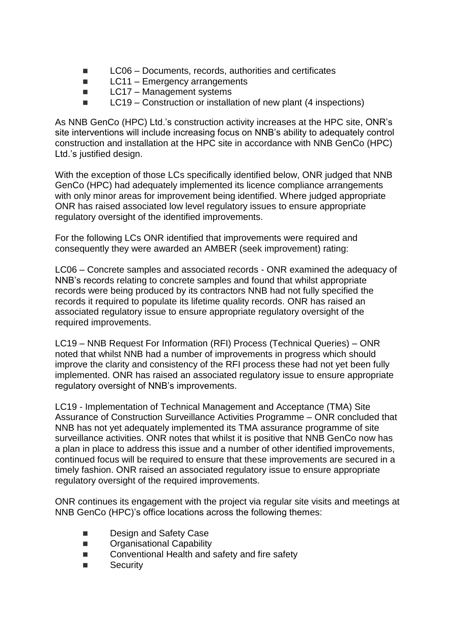- LC06 Documents, records, authorities and certificates
- $\blacksquare$  LC11 Emergency arrangements
- $\blacksquare$  LC17 Management systems
- $\blacksquare$  LC19 Construction or installation of new plant (4 inspections)

As NNB GenCo (HPC) Ltd.'s construction activity increases at the HPC site, ONR's site interventions will include increasing focus on NNB's ability to adequately control construction and installation at the HPC site in accordance with NNB GenCo (HPC) Ltd.'s justified design.

With the exception of those LCs specifically identified below, ONR judged that NNB GenCo (HPC) had adequately implemented its licence compliance arrangements with only minor areas for improvement being identified. Where judged appropriate ONR has raised associated low level regulatory issues to ensure appropriate regulatory oversight of the identified improvements.

For the following LCs ONR identified that improvements were required and consequently they were awarded an AMBER (seek improvement) rating:

LC06 – Concrete samples and associated records - ONR examined the adequacy of NNB's records relating to concrete samples and found that whilst appropriate records were being produced by its contractors NNB had not fully specified the records it required to populate its lifetime quality records. ONR has raised an associated regulatory issue to ensure appropriate regulatory oversight of the required improvements.

LC19 – NNB Request For Information (RFI) Process (Technical Queries) – ONR noted that whilst NNB had a number of improvements in progress which should improve the clarity and consistency of the RFI process these had not yet been fully implemented. ONR has raised an associated regulatory issue to ensure appropriate regulatory oversight of NNB's improvements.

LC19 - Implementation of Technical Management and Acceptance (TMA) Site Assurance of Construction Surveillance Activities Programme – ONR concluded that NNB has not yet adequately implemented its TMA assurance programme of site surveillance activities. ONR notes that whilst it is positive that NNB GenCo now has a plan in place to address this issue and a number of other identified improvements, continued focus will be required to ensure that these improvements are secured in a timely fashion. ONR raised an associated regulatory issue to ensure appropriate regulatory oversight of the required improvements.

ONR continues its engagement with the project via regular site visits and meetings at NNB GenCo (HPC)'s office locations across the following themes:

- Design and Safety Case
- **Example 21 Contributor** Capability
- Conventional Health and safety and fire safety
- Security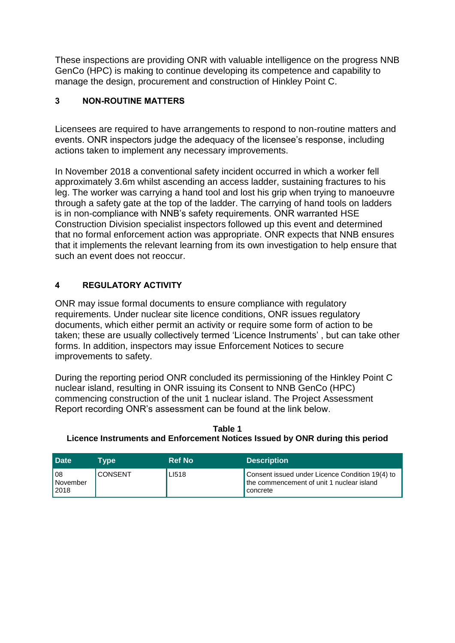These inspections are providing ONR with valuable intelligence on the progress NNB GenCo (HPC) is making to continue developing its competence and capability to manage the design, procurement and construction of Hinkley Point C.

## <span id="page-4-0"></span>**3 NON-ROUTINE MATTERS**

Licensees are required to have arrangements to respond to non-routine matters and events. ONR inspectors judge the adequacy of the licensee's response, including actions taken to implement any necessary improvements.

In November 2018 a conventional safety incident occurred in which a worker fell approximately 3.6m whilst ascending an access ladder, sustaining fractures to his leg. The worker was carrying a hand tool and lost his grip when trying to manoeuvre through a safety gate at the top of the ladder. The carrying of hand tools on ladders is in non-compliance with NNB's safety requirements. ONR warranted HSE Construction Division specialist inspectors followed up this event and determined that no formal enforcement action was appropriate. ONR expects that NNB ensures that it implements the relevant learning from its own investigation to help ensure that such an event does not reoccur.

# <span id="page-4-1"></span>**4 REGULATORY ACTIVITY**

ONR may issue formal documents to ensure compliance with regulatory requirements. Under nuclear site licence conditions, ONR issues regulatory documents, which either permit an activity or require some form of action to be taken; these are usually collectively termed 'Licence Instruments' , but can take other forms. In addition, inspectors may issue Enforcement Notices to secure improvements to safety.

During the reporting period ONR concluded its permissioning of the Hinkley Point C nuclear island, resulting in ONR issuing its Consent to NNB GenCo (HPC) commencing construction of the unit 1 nuclear island. The Project Assessment Report recording ONR's assessment can be found at the link below.

**Table 1 Licence Instruments and Enforcement Notices Issued by ONR during this period**

| <b>Date</b>               | Tvpe           | <b>Ref No</b> | <b>Description</b>                                                                                         |
|---------------------------|----------------|---------------|------------------------------------------------------------------------------------------------------------|
| l 08<br>November<br>12018 | <b>CONSENT</b> | LI518         | Consent issued under Licence Condition 19(4) to<br>the commencement of unit 1 nuclear island<br>l concrete |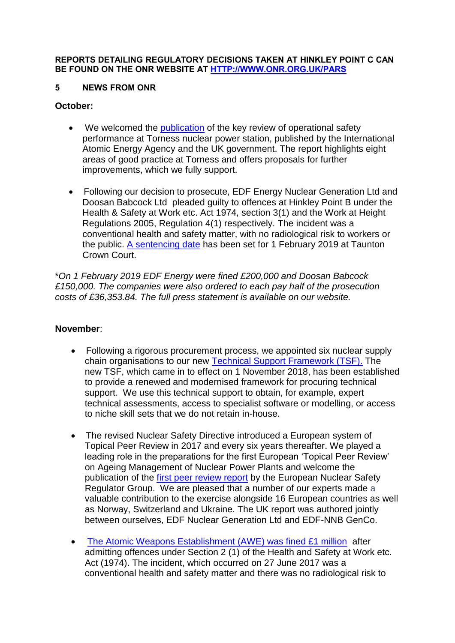#### **REPORTS DETAILING REGULATORY DECISIONS TAKEN AT HINKLEY POINT C CAN BE FOUND ON THE ONR WEBSITE AT [HTTP://WWW.ONR.ORG.UK/PARS](http://www.onr.org.uk/pars/index.htm)**

### <span id="page-5-0"></span>**5 NEWS FROM ONR**

## **October:**

- We welcomed the [publication](http://news.onr.org.uk/2018/10/iaea-review-torness-power-station/) of the key review of operational safety performance at Torness nuclear power station, published by the International Atomic Energy Agency and the UK government. The report highlights eight areas of good practice at Torness and offers proposals for further improvements, which we fully support.
- Following our decision to prosecute, EDF Energy Nuclear Generation Ltd and Doosan Babcock Ltd pleaded guilty to offences at Hinkley Point B under the Health & Safety at Work etc. Act 1974, section 3(1) and the Work at Height Regulations 2005, Regulation 4(1) respectively. The incident was a conventional health and safety matter, with no radiological risk to workers or the public. [A sentencing date](http://news.onr.org.uk/2018/10/edf-and-doosan-babcock-plead-guilty/) has been set for 1 February 2019 at Taunton Crown Court.

\**On 1 February 2019 EDF Energy were fined £200,000 and Doosan Babcock £150,000. The companies were also ordered to each pay half of the prosecution costs of £36,353.84. The full press statement is available on our website.*

### **November**:

- Following a rigorous procurement process, we appointed six nuclear supply chain organisations to our new [Technical Support Framework \(TSF\).](http://news.onr.org.uk/2018/11/new-technical-support-framework-announced/) The new TSF, which came in to effect on 1 November 2018, has been established to provide a renewed and modernised framework for procuring technical support. We use this technical support to obtain, for example, expert technical assessments, access to specialist software or modelling, or access to niche skill sets that we do not retain in-house.
- The revised Nuclear Safety Directive introduced a European system of Topical Peer Review in 2017 and every six years thereafter. We played a leading role in the preparations for the first European 'Topical Peer Review' on Ageing Management of Nuclear Power Plants and welcome the publication of the [first peer review report](http://news.onr.org.uk/2018/11/onr-welcomes-first-topical-peer-review/) by the European Nuclear Safety Regulator Group. We are pleased that a number of our experts made a valuable contribution to the exercise alongside 16 European countries as well as Norway, Switzerland and Ukraine. The UK report was authored jointly between ourselves, EDF Nuclear Generation Ltd and EDF-NNB GenCo.
- [The Atomic Weapons Establishment \(AWE\) was fined £1 million](http://news.onr.org.uk/2018/11/awe-prosecution-reaction/) after admitting offences under Section 2 (1) of the Health and Safety at Work etc. Act (1974). The incident, which occurred on 27 June 2017 was a conventional health and safety matter and there was no radiological risk to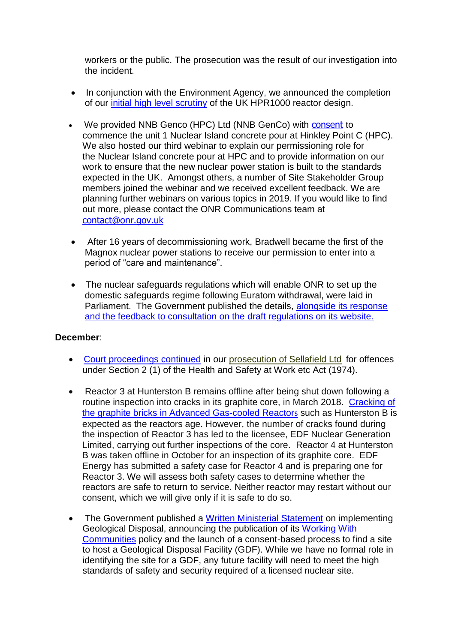workers or the public. The prosecution was the result of our investigation into the incident.

- In conjunction with the Environment Agency, we announced the completion of our [initial high level scrutiny](http://news.onr.org.uk/2018/11/uk-hpr1000-completes-gda-step-2/) of the UK HPR1000 reactor design.
- We provided NNB Genco (HPC) Ltd (NNB GenCo) with [consent](http://news.onr.org.uk/2018/11/consent-for-hinkley-point-c-nuclear-island-concrete-pour/) to commence the unit 1 Nuclear Island concrete pour at Hinkley Point C (HPC). We also hosted our third webinar to explain our permissioning role for the Nuclear Island concrete pour at HPC and to provide information on our work to ensure that the new nuclear power station is built to the standards expected in the UK. Amongst others, a number of Site Stakeholder Group members joined the webinar and we received excellent feedback. We are planning further webinars on various topics in 2019. If you would like to find out more, please contact the ONR Communications team at [contact@onr.gov.uk](mailto:contact@onr.gov.uk)
- After 16 years of decommissioning work, Bradwell became the first of the Magnox nuclear power stations to receive our permission to enter into a period of "care and maintenance".
- The nuclear safeguards regulations which will enable ONR to set up the domestic safeguards regime following Euratom withdrawal, were laid in Parliament. The Government published the details, alongside its response [and the feedback to consultation on the draft regulations on its website.](https://www.gov.uk/government/consultations/nuclear-safeguards-regulations)

## **December**:

- [Court proceedings continued](http://news.onr.org.uk/2018/12/prosecution-of-sellafield-ltd/) in our [prosecution of Sellafield Ltd](http://news.onr.org.uk/2018/07/update-prosecution-of-sellafield-ltd/) for offences under Section 2 (1) of the Health and Safety at Work etc Act (1974).
- Reactor 3 at Hunterston B remains offline after being shut down following a routine inspection into cracks in its graphite core, in March 2018. [Cracking of](http://www.onr.org.uk/civil-nuclear-reactors/graphite-core-of-agrs.htm)  [the graphite bricks in Advanced Gas-cooled Reactor](http://www.onr.org.uk/civil-nuclear-reactors/graphite-core-of-agrs.htm)s such as Hunterston B is expected as the reactors age. However, the number of cracks found during the inspection of Reactor 3 has led to the licensee, EDF Nuclear Generation Limited, carrying out further inspections of the core. Reactor 4 at Hunterston B was taken offline in October for an inspection of its graphite core. EDF Energy has submitted a safety case for Reactor 4 and is preparing one for Reactor 3. We will assess both safety cases to determine whether the reactors are safe to return to service. Neither reactor may restart without our consent, which we will give only if it is safe to do so.
- The Government published a [Written Ministerial Statement](https://www.parliament.uk/business/publications/written-questions-answers-statements/written-statement/Commons/2018-12-19/HCWS1217/) on implementing Geological Disposal, announcing the publication of its [Working With](https://www.gov.uk/government/publications/implementing-geological-disposal-working-with-communities-long-term-management-of-higher-activity-radioactive-waste)  [Communities](https://www.gov.uk/government/publications/implementing-geological-disposal-working-with-communities-long-term-management-of-higher-activity-radioactive-waste) policy and the launch of a consent-based process to find a site to host a Geological Disposal Facility (GDF). While we have no formal role in identifying the site for a GDF, any future facility will need to meet the high standards of safety and security required of a licensed nuclear site.